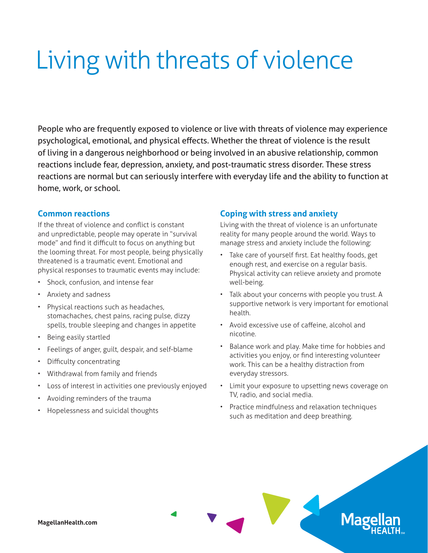## Living with threats of violence

People who are frequently exposed to violence or live with threats of violence may experience psychological, emotional, and physical effects. Whether the threat of violence is the result of living in a dangerous neighborhood or being involved in an abusive relationship, common reactions include fear, depression, anxiety, and post-traumatic stress disorder. These stress reactions are normal but can seriously interfere with everyday life and the ability to function at home, work, or school.

## **Common reactions**

If the threat of violence and conflict is constant and unpredictable, people may operate in "survival mode" and find it difficult to focus on anything but the looming threat. For most people, being physically threatened is a traumatic event. Emotional and physical responses to traumatic events may include:

- Shock, confusion, and intense fear
- Anxiety and sadness
- Physical reactions such as headaches, stomachaches, chest pains, racing pulse, dizzy spells, trouble sleeping and changes in appetite
- Being easily startled
- Feelings of anger, guilt, despair, and self-blame
- Difficulty concentrating
- Withdrawal from family and friends
- Loss of interest in activities one previously enjoyed
- Avoiding reminders of the trauma
- Hopelessness and suicidal thoughts

## **Coping with stress and anxiety**

Living with the threat of violence is an unfortunate reality for many people around the world. Ways to manage stress and anxiety include the following:

- Take care of yourself first. Eat healthy foods, get enough rest, and exercise on a regular basis. Physical activity can relieve anxiety and promote well-being.
- Talk about your concerns with people you trust. A supportive network is very important for emotional health.
- Avoid excessive use of caffeine, alcohol and nicotine.
- Balance work and play. Make time for hobbies and activities you enjoy, or find interesting volunteer work. This can be a healthy distraction from everyday stressors.
- Limit your exposure to upsetting news coverage on TV, radio, and social media.

**Mag** 

• Practice mindfulness and relaxation techniques such as meditation and deep breathing.